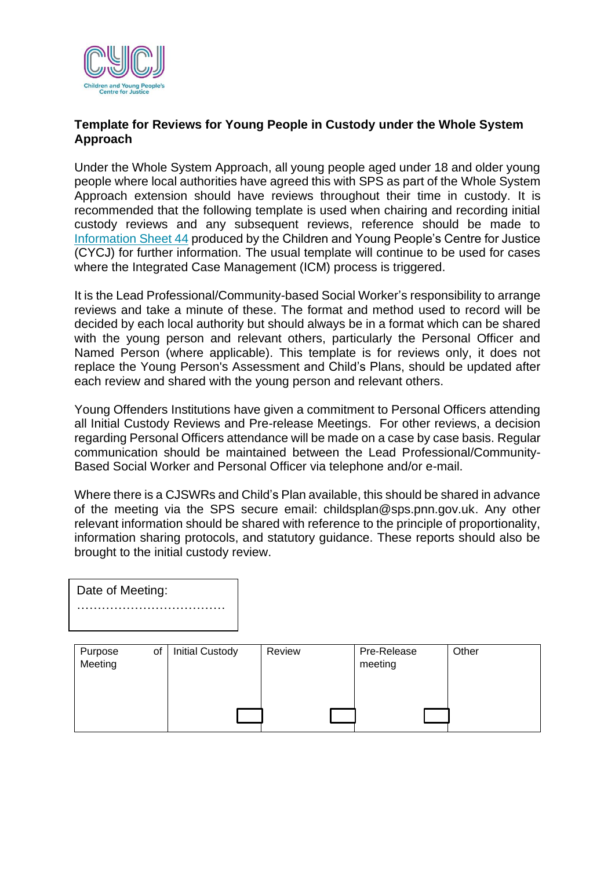

## **Template for Reviews for Young People in Custody under the Whole System Approach**

Under the Whole System Approach, all young people aged under 18 and older young people where local authorities have agreed this with SPS as part of the Whole System Approach extension should have reviews throughout their time in custody. It is recommended that the following template is used when chairing and recording initial custody reviews and any subsequent reviews, reference should be made to [Information Sheet 44](https://www.cycj.org.uk/wp-content/uploads/2021/11/Info-Sheet-44-Nov-2021-update.pdf) produced by the Children and Young People's Centre for Justice (CYCJ) for further information. The usual template will continue to be used for cases where the Integrated Case Management (ICM) process is triggered.

It is the Lead Professional/Community-based Social Worker's responsibility to arrange reviews and take a minute of these. The format and method used to record will be decided by each local authority but should always be in a format which can be shared with the young person and relevant others, particularly the Personal Officer and Named Person (where applicable). This template is for reviews only, it does not replace the Young Person's Assessment and Child's Plans, should be updated after each review and shared with the young person and relevant others.

Young Offenders Institutions have given a commitment to Personal Officers attending all Initial Custody Reviews and Pre-release Meetings. For other reviews, a decision regarding Personal Officers attendance will be made on a case by case basis. Regular communication should be maintained between the Lead Professional/Community-Based Social Worker and Personal Officer via telephone and/or e-mail.

Where there is a CJSWRs and Child's Plan available, this should be shared in advance of the meeting via the SPS secure email: childsplan@sps.pnn.gov.uk. Any other relevant information should be shared with reference to the principle of proportionality, information sharing protocols, and statutory guidance. These reports should also be brought to the initial custody review.

| Date of Meeting: |
|------------------|
|                  |
|                  |

| Purpose | of | <b>Initial Custody</b> | Review | Pre-Release | Other |
|---------|----|------------------------|--------|-------------|-------|
| Meeting |    |                        |        | meeting     |       |
|         |    |                        |        |             |       |
|         |    |                        |        |             |       |
|         |    |                        |        |             |       |
|         |    |                        |        |             |       |
|         |    |                        |        |             |       |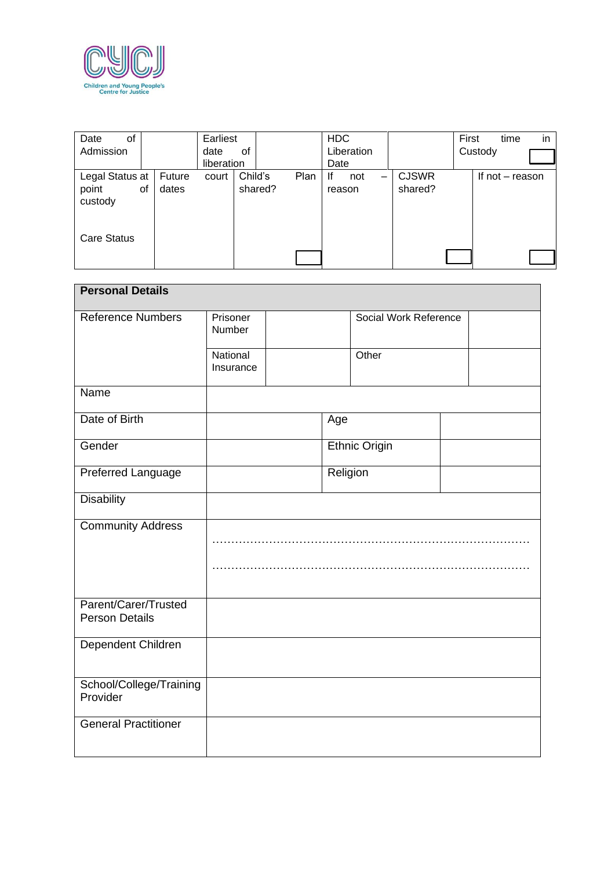

| Date<br>of<br>Admission             |                       | Earliest<br>date<br>0f |                            | <b>HDC</b><br>Liberation |                         | in<br>First<br>time<br>Custody |
|-------------------------------------|-----------------------|------------------------|----------------------------|--------------------------|-------------------------|--------------------------------|
|                                     |                       | liberation             |                            | Date                     |                         |                                |
| Legal Status at<br>point<br>custody | Future<br>dates<br>οf | court                  | Child's<br>Plan<br>shared? | lf<br>not<br>-<br>reason | <b>CJSWR</b><br>shared? | If not - reason                |
| <b>Care Status</b>                  |                       |                        |                            |                          |                         |                                |

| <b>Personal Details</b>                       |                       |  |          |                       |  |  |
|-----------------------------------------------|-----------------------|--|----------|-----------------------|--|--|
| <b>Reference Numbers</b>                      | Prisoner<br>Number    |  |          | Social Work Reference |  |  |
|                                               | National<br>Insurance |  |          | Other                 |  |  |
| Name                                          |                       |  |          |                       |  |  |
| Date of Birth                                 |                       |  | Age      |                       |  |  |
| Gender                                        |                       |  |          | <b>Ethnic Origin</b>  |  |  |
| Preferred Language                            |                       |  | Religion |                       |  |  |
| <b>Disability</b>                             |                       |  |          |                       |  |  |
| <b>Community Address</b>                      |                       |  |          |                       |  |  |
|                                               |                       |  |          |                       |  |  |
| Parent/Carer/Trusted<br><b>Person Details</b> |                       |  |          |                       |  |  |
| Dependent Children                            |                       |  |          |                       |  |  |
| School/College/Training<br>Provider           |                       |  |          |                       |  |  |
| <b>General Practitioner</b>                   |                       |  |          |                       |  |  |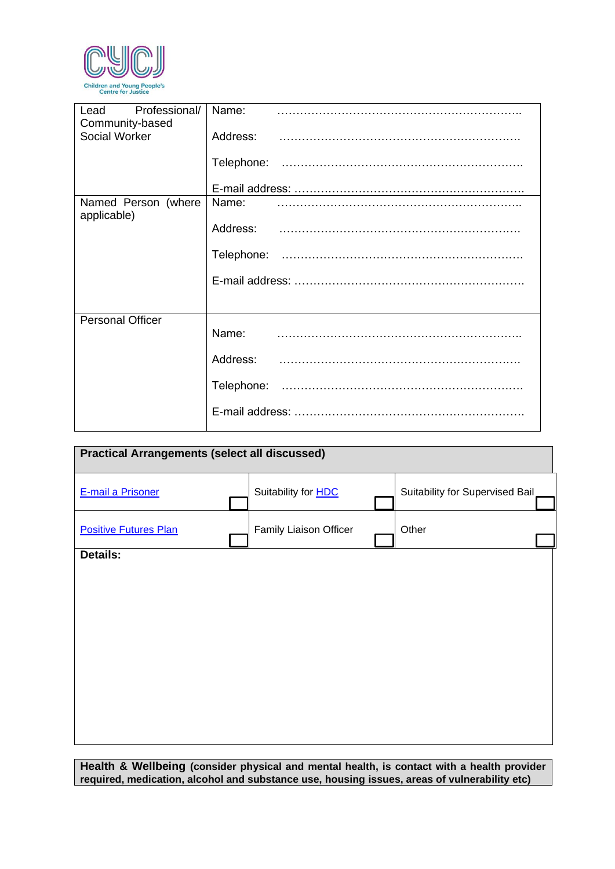

| Lead Professional/<br>Community-based | Name: |
|---------------------------------------|-------|
| Social Worker                         |       |
|                                       |       |
|                                       |       |
| Named Person (where<br>applicable)    | Name: |
|                                       |       |
|                                       |       |
|                                       |       |
|                                       |       |
| <b>Personal Officer</b>               | Name: |
|                                       |       |
|                                       |       |
|                                       |       |

| <b>Practical Arrangements (select all discussed)</b> |                            |                                 |
|------------------------------------------------------|----------------------------|---------------------------------|
| <b>E-mail a Prisoner</b>                             | Suitability for <b>HDC</b> | Suitability for Supervised Bail |
| <b>Positive Futures Plan</b>                         | Family Liaison Officer     | Other                           |
| <b>Details:</b>                                      |                            |                                 |
|                                                      |                            |                                 |
|                                                      |                            |                                 |
|                                                      |                            |                                 |
|                                                      |                            |                                 |
|                                                      |                            |                                 |
|                                                      |                            |                                 |
|                                                      |                            |                                 |

**Health & Wellbeing (consider physical and mental health, is contact with a health provider required, medication, alcohol and substance use, housing issues, areas of vulnerability etc)**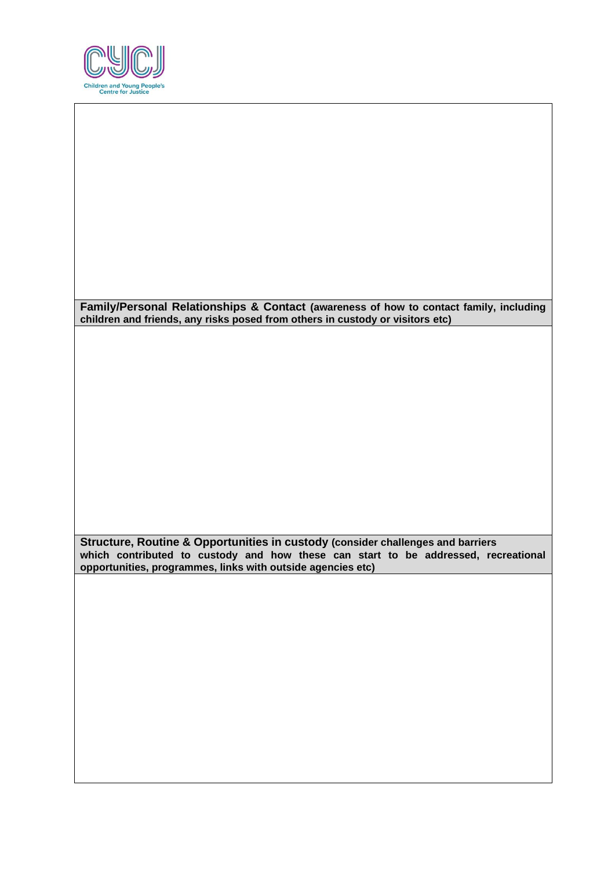

| Family/Personal Relationships & Contact (awareness of how to contact family, including<br>children and friends, any risks posed from others in custody or visitors etc)                                                              |  |
|--------------------------------------------------------------------------------------------------------------------------------------------------------------------------------------------------------------------------------------|--|
|                                                                                                                                                                                                                                      |  |
|                                                                                                                                                                                                                                      |  |
|                                                                                                                                                                                                                                      |  |
|                                                                                                                                                                                                                                      |  |
|                                                                                                                                                                                                                                      |  |
|                                                                                                                                                                                                                                      |  |
| Structure, Routine & Opportunities in custody (consider challenges and barriers<br>which contributed to custody and how these can start to be addressed, recreational<br>opportunities, programmes, links with outside agencies etc) |  |
|                                                                                                                                                                                                                                      |  |
|                                                                                                                                                                                                                                      |  |
|                                                                                                                                                                                                                                      |  |
|                                                                                                                                                                                                                                      |  |
|                                                                                                                                                                                                                                      |  |
|                                                                                                                                                                                                                                      |  |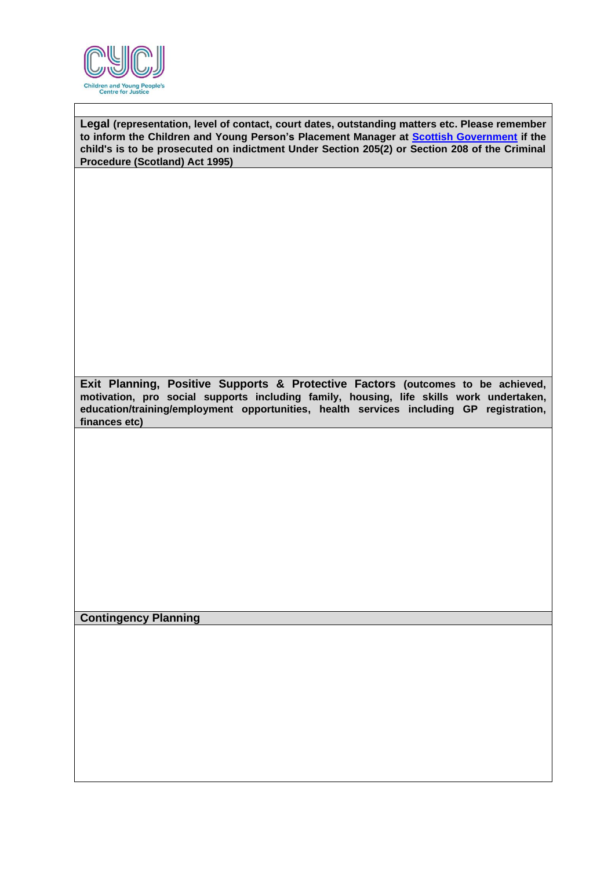

**Legal (representation, level of contact, court dates, outstanding matters etc. Please remember to inform the Children and Young Person's Placement Manager at [Scottish Government](file:///C:/Users/jrb14197/Downloads/205%20208%20Guidance%20August%202020%20CYCJ%20comments.pdf) if the child's is to be prosecuted on indictment Under Section 205(2) or Section 208 of the Criminal Procedure (Scotland) Act 1995)**

**Exit Planning, Positive Supports & Protective Factors (outcomes to be achieved, motivation, pro social supports including family, housing, life skills work undertaken, education/training/employment opportunities, health services including GP registration, finances etc)**

**Contingency Planning**